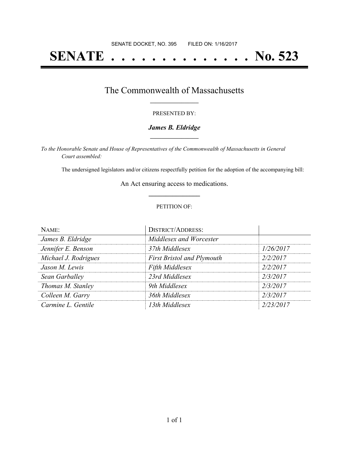# **SENATE . . . . . . . . . . . . . . No. 523**

### The Commonwealth of Massachusetts **\_\_\_\_\_\_\_\_\_\_\_\_\_\_\_\_\_**

#### PRESENTED BY:

#### *James B. Eldridge* **\_\_\_\_\_\_\_\_\_\_\_\_\_\_\_\_\_**

*To the Honorable Senate and House of Representatives of the Commonwealth of Massachusetts in General Court assembled:*

The undersigned legislators and/or citizens respectfully petition for the adoption of the accompanying bill:

An Act ensuring access to medications. **\_\_\_\_\_\_\_\_\_\_\_\_\_\_\_**

#### PETITION OF:

| NAME:                | <b>DISTRICT/ADDRESS:</b>          |           |
|----------------------|-----------------------------------|-----------|
| James B. Eldridge    | Middlesex and Worcester           |           |
| Jennifer E. Benson   | 37th Middlesex                    | 1/26/2017 |
| Michael J. Rodrigues | <b>First Bristol and Plymouth</b> | 2/2/2017  |
| Jason M. Lewis       | Fifth Middlesex                   | 2/2/2017  |
| Sean Garballey       | 23rd Middlesex                    | 2/3/2017  |
| Thomas M. Stanley    | 9th Middlesex                     | 2/3/2017  |
| Colleen M. Garry     | 36th Middlesex                    | 2/3/2017  |
| Carmine L. Gentile   | 13th Middlesex                    | 2/23/2017 |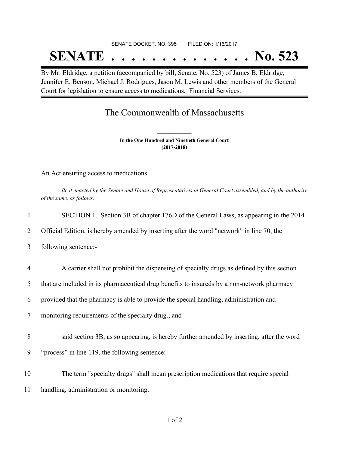# SENATE DOCKET, NO. 395 FILED ON: 1/16/2017 **SENATE . . . . . . . . . . . . . . No. 523**

By Mr. Eldridge, a petition (accompanied by bill, Senate, No. 523) of James B. Eldridge, Jennifer E. Benson, Michael J. Rodrigues, Jason M. Lewis and other members of the General Court for legislation to ensure access to medications. Financial Services.

## The Commonwealth of Massachusetts

**In the One Hundred and Ninetieth General Court (2017-2018) \_\_\_\_\_\_\_\_\_\_\_\_\_\_\_**

**\_\_\_\_\_\_\_\_\_\_\_\_\_\_\_**

An Act ensuring access to medications.

Be it enacted by the Senate and House of Representatives in General Court assembled, and by the authority *of the same, as follows:*

| $\mathbf{1}$   | SECTION 1. Section 3B of chapter 176D of the General Laws, as appearing in the 2014         |
|----------------|---------------------------------------------------------------------------------------------|
| 2              | Official Edition, is hereby amended by inserting after the word "network" in line 70, the   |
| 3              | following sentence:-                                                                        |
| $\overline{4}$ | A carrier shall not prohibit the dispensing of specialty drugs as defined by this section   |
| 5              | that are included in its pharmaceutical drug benefits to insureds by a non-network pharmacy |
| 6              | provided that the pharmacy is able to provide the special handling, administration and      |
| $\overline{7}$ | monitoring requirements of the specialty drug.; and                                         |
| 8              | said section 3B, as so appearing, is hereby further amended by inserting, after the word    |
| 9              | "process" in line 119, the following sentence:-                                             |
| 10             | The term "specialty drugs" shall mean prescription medications that require special         |
| 11             | handling, administration or monitoring.                                                     |
|                |                                                                                             |